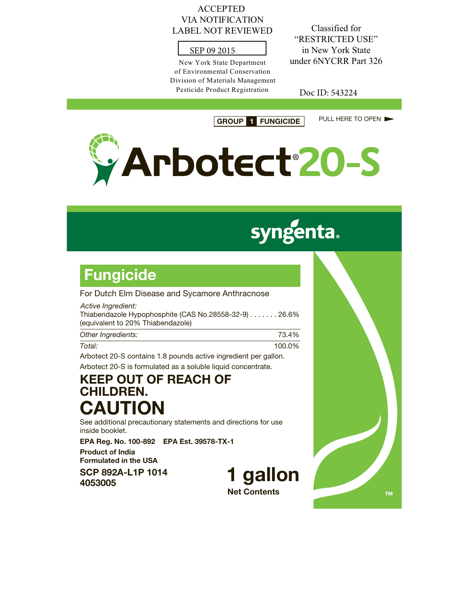#### ACCEPTED VIA NOTIFICATION LABEL NOT REVIEWED

### SEP 09 2015

New York State Department of Environmental Conservation Division of Materials Management Pesticide Product Registration

Classified for "RESTRICTED USE" in New York State under 6NYCRR Part 326

Doc ID: 543224

**GROUP 1 FUNGICIDE** PULL HERE TO OPEN



# **syngenta.**

## **Fungicide**

For Dutch Elm Disease and Sycamore Anthracnose

| Active Ingredient:<br>Thiabendazole Hypophosphite (CAS No.28558-32-9) 26.6%<br>(equivalent to 20% Thiabendazole) |      |
|------------------------------------------------------------------------------------------------------------------|------|
| Other Ingredients:                                                                                               | 734% |

| Total: | 100.0%                                                          |
|--------|-----------------------------------------------------------------|
|        | Arbotect 20-S contains 1.8 pounds active ingredient per gallon. |

Arbotect 20-S is formulated as a soluble liquid concentrate.

## **KEEP OUT OF REACH OF CHILDREN. CAUTION**

See additional precautionary statements and directions for use inside booklet.

**EPA Reg. No. 100-892 EPA Est. 39578-TX-1**

**Product of India Formulated in the USA**

**SCP 892A-L1P 1014 <sup>4053005</sup> 1 gallon**

**Net Contents**

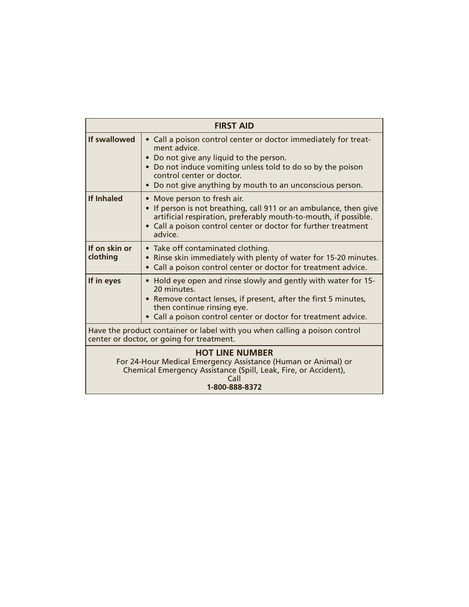| <b>FIRST AID</b>                                                                                                                                                                     |                                                                                                                                                                                                                                                                                   |  |
|--------------------------------------------------------------------------------------------------------------------------------------------------------------------------------------|-----------------------------------------------------------------------------------------------------------------------------------------------------------------------------------------------------------------------------------------------------------------------------------|--|
| If swallowed                                                                                                                                                                         | • Call a poison control center or doctor immediately for treat-<br>ment advice.<br>Do not give any liquid to the person.<br>• Do not induce vomiting unless told to do so by the poison<br>control center or doctor.<br>• Do not give anything by mouth to an unconscious person. |  |
| <b>If Inhaled</b>                                                                                                                                                                    | • Move person to fresh air.<br>If person is not breathing, call 911 or an ambulance, then give<br>artificial respiration, preferably mouth-to-mouth, if possible.<br>• Call a poison control center or doctor for further treatment<br>advice                                     |  |
| If on skin or<br>clothing                                                                                                                                                            | • Take off contaminated clothing.<br>Rinse skin immediately with plenty of water for 15-20 minutes.<br>Call a poison control center or doctor for treatment advice.                                                                                                               |  |
| If in eyes                                                                                                                                                                           | • Hold eye open and rinse slowly and gently with water for 15-<br>20 minutes.<br>• Remove contact lenses, if present, after the first 5 minutes,<br>then continue rinsing eye.<br>• Call a poison control center or doctor for treatment advice.                                  |  |
| Have the product container or label with you when calling a poison control<br>center or doctor, or going for treatment.                                                              |                                                                                                                                                                                                                                                                                   |  |
| <b>HOT LINE NUMBER</b><br>For 24-Hour Medical Emergency Assistance (Human or Animal) or<br>Chemical Emergency Assistance (Spill, Leak, Fire, or Accident),<br>Call<br>1-800-888-8372 |                                                                                                                                                                                                                                                                                   |  |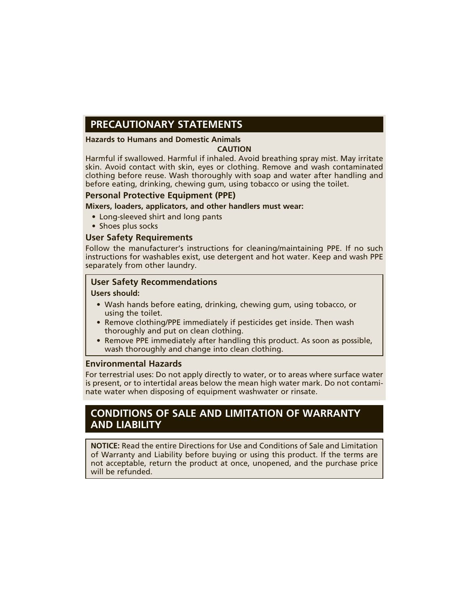### **PRECAUTIONARY STATEMENTS**

#### **Hazards to Humans and Domestic Animals**

#### **CAUTION**

Harmful if swallowed. Harmful if inhaled. Avoid breathing spray mist. May irritate skin. Avoid contact with skin, eyes or clothing. Remove and wash contaminated clothing before reuse. Wash thoroughly with soap and water after handling and before eating, drinking, chewing gum, using tobacco or using the toilet.

#### **Personal Protective Equipment (PPE)**

#### **Mixers, loaders, applicators, and other handlers must wear:**

- Long-sleeved shirt and long pants
- Shoes plus socks

#### **User Safety Requirements**

Follow the manufacturer's instructions for cleaning/maintaining PPE. If no such instructions for washables exist, use detergent and hot water. Keep and wash PPE separately from other laundry.

#### **User Safety Recommendations**

#### **Users should:**

- Wash hands before eating, drinking, chewing gum, using tobacco, or using the toilet.
- Remove clothing/PPE immediately if pesticides get inside. Then wash thoroughly and put on clean clothing.
- Remove PPE immediately after handling this product. As soon as possible, wash thoroughly and change into clean clothing.

#### **Environmental Hazards**

For terrestrial uses: Do not apply directly to water, or to areas where surface water is present, or to intertidal areas below the mean high water mark. Do not contaminate water when disposing of equipment washwater or rinsate.

#### **CONDITIONS OF SALE AND LIMITATION OF WARRANTY AND LIABILITY**

**NOTICE:** Read the entire Directions for Use and Conditions of Sale and Limitation of Warranty and Liability before buying or using this product. If the terms are not acceptable, return the product at once, unopened, and the purchase price will be refunded.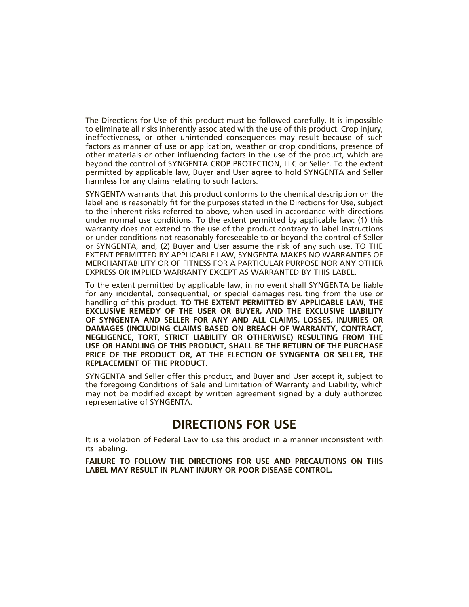The Directions for Use of this product must be followed carefully. It is impossible to eliminate all risks inherently associated with the use of this product. Crop injury, ineffectiveness, or other unintended consequences may result because of such factors as manner of use or application, weather or crop conditions, presence of other materials or other influencing factors in the use of the product, which are beyond the control of SYNGENTA CROP PROTECTION, LLC or Seller. To the extent permitted by applicable law, Buyer and User agree to hold SYNGENTA and Seller harmless for any claims relating to such factors.

SYNGENTA warrants that this product conforms to the chemical description on the label and is reasonably fit for the purposes stated in the Directions for Use, subject to the inherent risks referred to above, when used in accordance with directions under normal use conditions. To the extent permitted by applicable law: (1) this warranty does not extend to the use of the product contrary to label instructions or under conditions not reasonably foreseeable to or beyond the control of Seller or SYNGENTA, and, (2) Buyer and User assume the risk of any such use. TO THE EXTENT PERMITTED BY APPLICABLE LAW, SYNGENTA MAKES NO WARRANTIES OF MERCHANTABILITY OR OF FITNESS FOR A PARTICULAR PURPOSE NOR ANY OTHER EXPRESS OR IMPLIED WARRANTY EXCEPT AS WARRANTED BY THIS LABEL.

To the extent permitted by applicable law, in no event shall SYNGENTA be liable for any incidental, consequential, or special damages resulting from the use or handling of this product. **TO THE EXTENT PERMITTED BY APPLICABLE LAW, THE EXCLUSIVE REMEDY OF THE USER OR BUYER, AND THE EXCLUSIVE LIABILITY OF SYNGENTA AND SELLER FOR ANY AND ALL CLAIMS, LOSSES, INJURIES OR DAMAGES (INCLUDING CLAIMS BASED ON BREACH OF WARRANTY, CONTRACT, NEGLIGENCE, TORT, STRICT LIABILITY OR OTHERWISE) RESULTING FROM THE USE OR HANDLING OF THIS PRODUCT, SHALL BE THE RETURN OF THE PURCHASE PRICE OF THE PRODUCT OR, AT THE ELECTION OF SYNGENTA OR SELLER, THE REPLACEMENT OF THE PRODUCT.**

SYNGENTA and Seller offer this product, and Buyer and User accept it, subject to the foregoing Conditions of Sale and Limitation of Warranty and Liability, which may not be modified except by written agreement signed by a duly authorized representative of SYNGENTA.

### **DIRECTIONS FOR USE**

It is a violation of Federal Law to use this product in a manner inconsistent with its labeling.

**FAILURE TO FOLLOW THE DIRECTIONS FOR USE AND PRECAUTIONS ON THIS LABEL MAY RESULT IN PLANT INJURY OR POOR DISEASE CONTROL.**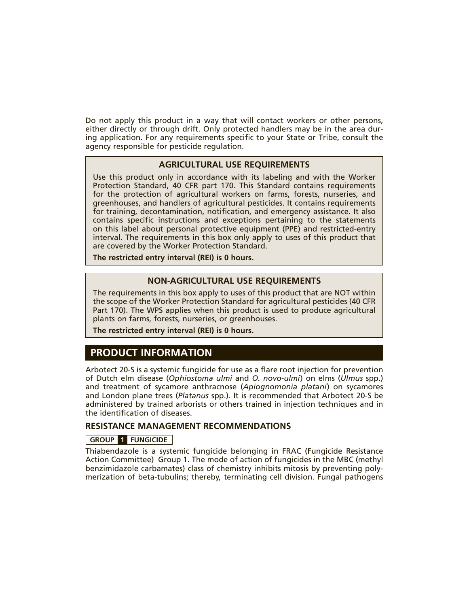Do not apply this product in a way that will contact workers or other persons, either directly or through drift. Only protected handlers may be in the area during application. For any requirements specific to your State or Tribe, consult the agency responsible for pesticide regulation.

#### **AGRICULTURAL USE REQUIREMENTS**

Use this product only in accordance with its labeling and with the Worker Protection Standard, 40 CFR part 170. This Standard contains requirements for the protection of agricultural workers on farms, forests, nurseries, and greenhouses, and handlers of agricultural pesticides. It contains requirements for training, decontamination, notification, and emergency assistance. It also contains specific instructions and exceptions pertaining to the statements on this label about personal protective equipment (PPE) and restricted-entry interval. The requirements in this box only apply to uses of this product that are covered by the Worker Protection Standard.

**The restricted entry interval (REI) is 0 hours.**

#### **NON-AGRICULTURAL USE REQUIREMENTS**

The requirements in this box apply to uses of this product that are NOT within the scope of the Worker Protection Standard for agricultural pesticides (40 CFR Part 170). The WPS applies when this product is used to produce agricultural plants on farms, forests, nurseries, or greenhouses.

**The restricted entry interval (REI) is 0 hours.**

### **PRODUCT INFORMATION**

Arbotect 20-S is a systemic fungicide for use as a flare root injection for prevention of Dutch elm disease (*Ophiostoma ulmi* and *O. novo-ulmi*) on elms (*Ulmus* spp.) and treatment of sycamore anthracnose (*Apiognomonia platani*) on sycamores and London plane trees (*Platanus* spp.). It is recommended that Arbotect 20-S be administered by trained arborists or others trained in injection techniques and in the identification of diseases.

#### **RESISTANCE MANAGEMENT RECOMMENDATIONS**

#### **GROUP 1 FUNGICIDE**

Thiabendazole is a systemic fungicide belonging in FRAC (Fungicide Resistance Action Committee) Group 1. The mode of action of fungicides in the MBC (methyl benzimidazole carbamates) class of chemistry inhibits mitosis by preventing polymerization of beta-tubulins; thereby, terminating cell division. Fungal pathogens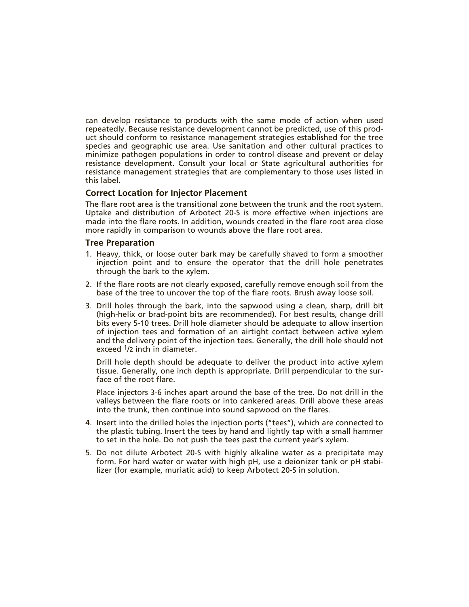can develop resistance to products with the same mode of action when used repeatedly. Because resistance development cannot be predicted, use of this product should conform to resistance management strategies established for the tree species and geographic use area. Use sanitation and other cultural practices to minimize pathogen populations in order to control disease and prevent or delay resistance development. Consult your local or State agricultural authorities for resistance management strategies that are complementary to those uses listed in this label.

#### **Correct Location for Injector Placement**

The flare root area is the transitional zone between the trunk and the root system. Uptake and distribution of Arbotect 20-S is more effective when injections are made into the flare roots. In addition, wounds created in the flare root area close more rapidly in comparison to wounds above the flare root area.

#### **Tree Preparation**

- 1. Heavy, thick, or loose outer bark may be carefully shaved to form a smoother injection point and to ensure the operator that the drill hole penetrates through the bark to the xylem.
- 2. If the flare roots are not clearly exposed, carefully remove enough soil from the base of the tree to uncover the top of the flare roots. Brush away loose soil.
- 3. Drill holes through the bark, into the sapwood using a clean, sharp, drill bit (high-helix or brad-point bits are recommended). For best results, change drill bits every 5-10 trees. Drill hole diameter should be adequate to allow insertion of injection tees and formation of an airtight contact between active xylem and the delivery point of the injection tees. Generally, the drill hole should not exceed <sup>1</sup>/2 inch in diameter.

 Drill hole depth should be adequate to deliver the product into active xylem tissue. Generally, one inch depth is appropriate. Drill perpendicular to the surface of the root flare.

 Place injectors 3-6 inches apart around the base of the tree. Do not drill in the valleys between the flare roots or into cankered areas. Drill above these areas into the trunk, then continue into sound sapwood on the flares.

- 4. Insert into the drilled holes the injection ports ("tees"), which are connected to the plastic tubing. Insert the tees by hand and lightly tap with a small hammer to set in the hole. Do not push the tees past the current year's xylem.
- 5. Do not dilute Arbotect 20-S with highly alkaline water as a precipitate may form. For hard water or water with high pH, use a deionizer tank or pH stabilizer (for example, muriatic acid) to keep Arbotect 20-S in solution.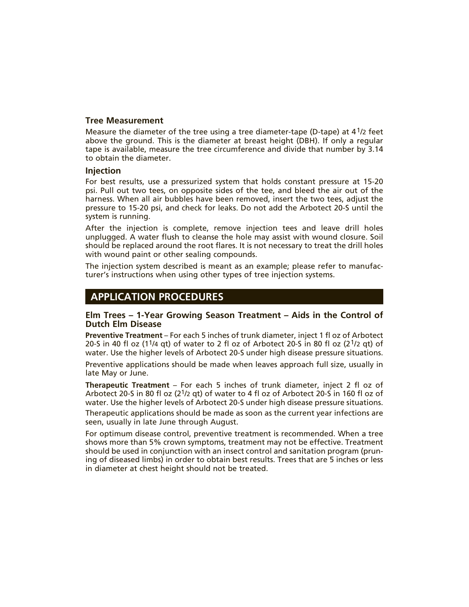#### **Tree Measurement**

Measure the diameter of the tree using a tree diameter-tape (D-tape) at 41/2 feet above the ground. This is the diameter at breast height (DBH). If only a regular tape is available, measure the tree circumference and divide that number by 3.14 to obtain the diameter.

#### **Injection**

For best results, use a pressurized system that holds constant pressure at 15-20 psi. Pull out two tees, on opposite sides of the tee, and bleed the air out of the harness. When all air bubbles have been removed, insert the two tees, adjust the pressure to 15-20 psi, and check for leaks. Do not add the Arbotect 20-S until the system is running.

After the injection is complete, remove injection tees and leave drill holes unplugged. A water flush to cleanse the hole may assist with wound closure. Soil should be replaced around the root flares. It is not necessary to treat the drill holes with wound paint or other sealing compounds.

The injection system described is meant as an example; please refer to manufacturer's instructions when using other types of tree injection systems.

#### **APPLICATION PROCEDURES**

#### **Elm Trees – 1-Year Growing Season Treatment – Aids in the Control of Dutch Elm Disease**

**Preventive Treatment** – For each 5 inches of trunk diameter, inject 1 fl oz of Arbotect 20-S in 40 fl oz (1<sup>1</sup>/4 gt) of water to 2 fl oz of Arbotect 20-S in 80 fl oz (2<sup>1</sup>/2 gt) of water. Use the higher levels of Arbotect 20-S under high disease pressure situations.

Preventive applications should be made when leaves approach full size, usually in late May or June.

**Therapeutic Treatment** – For each 5 inches of trunk diameter, inject 2 fl oz of Arbotect 20-S in 80 fl oz (21/2 qt) of water to 4 fl oz of Arbotect 20-S in 160 fl oz of water. Use the higher levels of Arbotect 20-S under high disease pressure situations.

Therapeutic applications should be made as soon as the current year infections are seen, usually in late June through August.

For optimum disease control, preventive treatment is recommended. When a tree shows more than 5% crown symptoms, treatment may not be effective. Treatment should be used in conjunction with an insect control and sanitation program (pruning of diseased limbs) in order to obtain best results. Trees that are 5 inches or less in diameter at chest height should not be treated.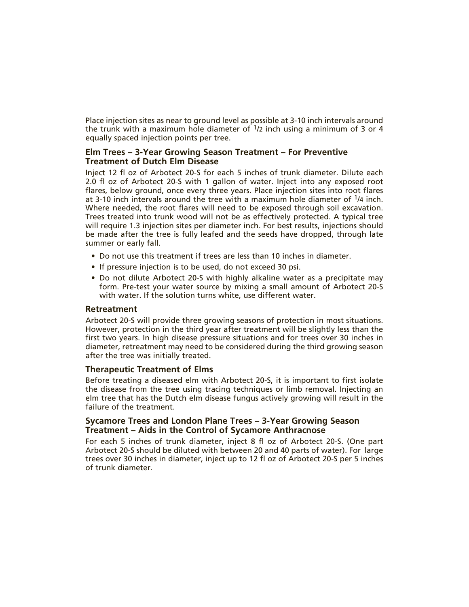Place injection sites as near to ground level as possible at 3-10 inch intervals around the trunk with a maximum hole diameter of  $\frac{1}{2}$  inch using a minimum of 3 or 4 equally spaced injection points per tree.

#### **Elm Trees – 3-Year Growing Season Treatment – For Preventive Treatment of Dutch Elm Disease**

Inject 12 fl oz of Arbotect 20-S for each 5 inches of trunk diameter. Dilute each 2.0 fl oz of Arbotect 20-S with 1 gallon of water. Inject into any exposed root flares, below ground, once every three years. Place injection sites into root flares at 3-10 inch intervals around the tree with a maximum hole diameter of  $\frac{1}{4}$  inch. Where needed, the root flares will need to be exposed through soil excavation. Trees treated into trunk wood will not be as effectively protected. A typical tree will require 1.3 injection sites per diameter inch. For best results, injections should be made after the tree is fully leafed and the seeds have dropped, through late summer or early fall.

- Do not use this treatment if trees are less than 10 inches in diameter.
- If pressure injection is to be used, do not exceed 30 psi.
- Do not dilute Arbotect 20-S with highly alkaline water as a precipitate may form. Pre-test your water source by mixing a small amount of Arbotect 20-S with water. If the solution turns white, use different water.

#### **Retreatment**

Arbotect 20-S will provide three growing seasons of protection in most situations. However, protection in the third year after treatment will be slightly less than the first two years. In high disease pressure situations and for trees over 30 inches in diameter, retreatment may need to be considered during the third growing season after the tree was initially treated.

#### **Therapeutic Treatment of Elms**

Before treating a diseased elm with Arbotect 20-S, it is important to first isolate the disease from the tree using tracing techniques or limb removal. Injecting an elm tree that has the Dutch elm disease fungus actively growing will result in the failure of the treatment.

#### **Sycamore Trees and London Plane Trees – 3-Year Growing Season Treatment – Aids in the Control of Sycamore Anthracnose**

For each 5 inches of trunk diameter, inject 8 fl oz of Arbotect 20-S. (One part Arbotect 20-S should be diluted with between 20 and 40 parts of water). For large trees over 30 inches in diameter, inject up to 12 fl oz of Arbotect 20-S per 5 inches of trunk diameter.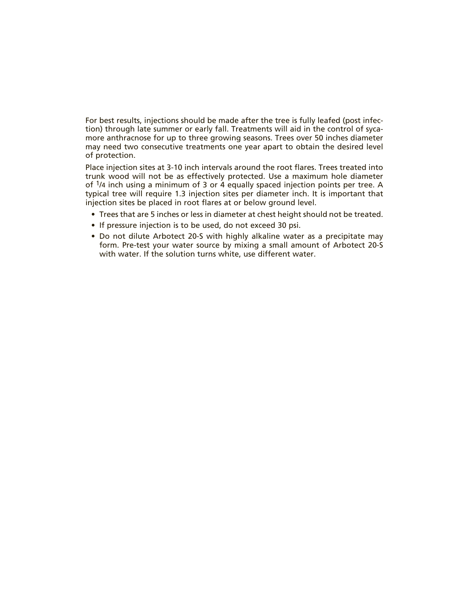For best results, injections should be made after the tree is fully leafed (post infection) through late summer or early fall. Treatments will aid in the control of sycamore anthracnose for up to three growing seasons. Trees over 50 inches diameter may need two consecutive treatments one year apart to obtain the desired level of protection.

Place injection sites at 3-10 inch intervals around the root flares. Trees treated into trunk wood will not be as effectively protected. Use a maximum hole diameter of 1/4 inch using a minimum of 3 or 4 equally spaced injection points per tree. A typical tree will require 1.3 injection sites per diameter inch. It is important that injection sites be placed in root flares at or below ground level.

- Trees that are 5 inches or less in diameter at chest height should not be treated.
- If pressure injection is to be used, do not exceed 30 psi.
- Do not dilute Arbotect 20-S with highly alkaline water as a precipitate may form. Pre-test your water source by mixing a small amount of Arbotect 20-S with water. If the solution turns white, use different water.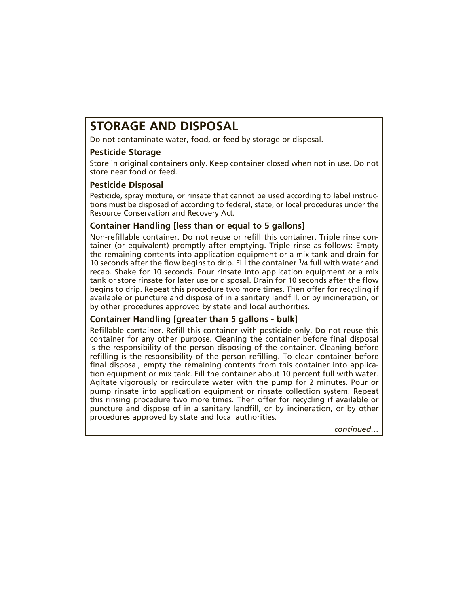## **STORAGE AND DISPOSAL**

Do not contaminate water, food, or feed by storage or disposal.

#### **Pesticide Storage**

Store in original containers only. Keep container closed when not in use. Do not store near food or feed.

#### **Pesticide Disposal**

Pesticide, spray mixture, or rinsate that cannot be used according to label instructions must be disposed of according to federal, state, or local procedures under the Resource Conservation and Recovery Act.

#### **Container Handling [less than or equal to 5 gallons]**

Non-refillable container. Do not reuse or refill this container. Triple rinse container (or equivalent) promptly after emptying. Triple rinse as follows: Empty the remaining contents into application equipment or a mix tank and drain for 10 seconds after the flow begins to drip. Fill the container  $\frac{1}{4}$  full with water and recap. Shake for 10 seconds. Pour rinsate into application equipment or a mix tank or store rinsate for later use or disposal. Drain for 10 seconds after the flow begins to drip. Repeat this procedure two more times. Then offer for recycling if available or puncture and dispose of in a sanitary landfill, or by incineration, or by other procedures approved by state and local authorities.

#### **Container Handling [greater than 5 gallons - bulk]**

Refillable container. Refill this container with pesticide only. Do not reuse this container for any other purpose. Cleaning the container before final disposal is the responsibility of the person disposing of the container. Cleaning before refilling is the responsibility of the person refilling. To clean container before final disposal, empty the remaining contents from this container into application equipment or mix tank. Fill the container about 10 percent full with water. Agitate vigorously or recirculate water with the pump for 2 minutes. Pour or pump rinsate into application equipment or rinsate collection system. Repeat this rinsing procedure two more times. Then offer for recycling if available or puncture and dispose of in a sanitary landfill, or by incineration, or by other procedures approved by state and local authorities.

*continued…*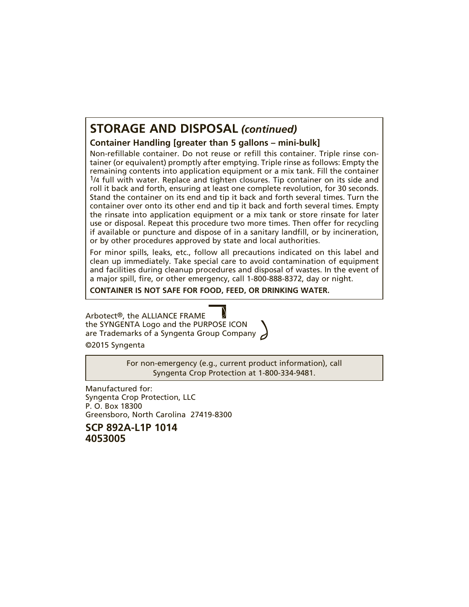## **STORAGE AND DISPOSAL** *(continued)*

#### **Container Handling [greater than 5 gallons – mini-bulk]**

Non-refillable container. Do not reuse or refill this container. Triple rinse container (or equivalent) promptly after emptying. Triple rinse as follows: Empty the remaining contents into application equipment or a mix tank. Fill the container 1/4 full with water. Replace and tighten closures. Tip container on its side and roll it back and forth, ensuring at least one complete revolution, for 30 seconds. Stand the container on its end and tip it back and forth several times. Turn the container over onto its other end and tip it back and forth several times. Empty the rinsate into application equipment or a mix tank or store rinsate for later use or disposal. Repeat this procedure two more times. Then offer for recycling if available or puncture and dispose of in a sanitary landfill, or by incineration, or by other procedures approved by state and local authorities.

For minor spills, leaks, etc., follow all precautions indicated on this label and clean up immediately. Take special care to avoid contamination of equipment and facilities during cleanup procedures and disposal of wastes. In the event of a major spill, fire, or other emergency, call 1-800-888-8372, day or night.

**CONTAINER IS NOT SAFE FOR FOOD, FEED, OR DRINKING WATER.**

Arbotect®, the ALLIANCE FRAME the SYNGENTA Logo and the PURPOSE ICON are Trademarks of a Syngenta Group Company

©2015 Syngenta

For non-emergency (e.g., current product information), call Syngenta Crop Protection at 1-800-334-9481.

Manufactured for: Syngenta Crop Protection, LLC P. O. Box 18300 Greensboro, North Carolina 27419-8300

**SCP 892A-L1P 1014 4053005**